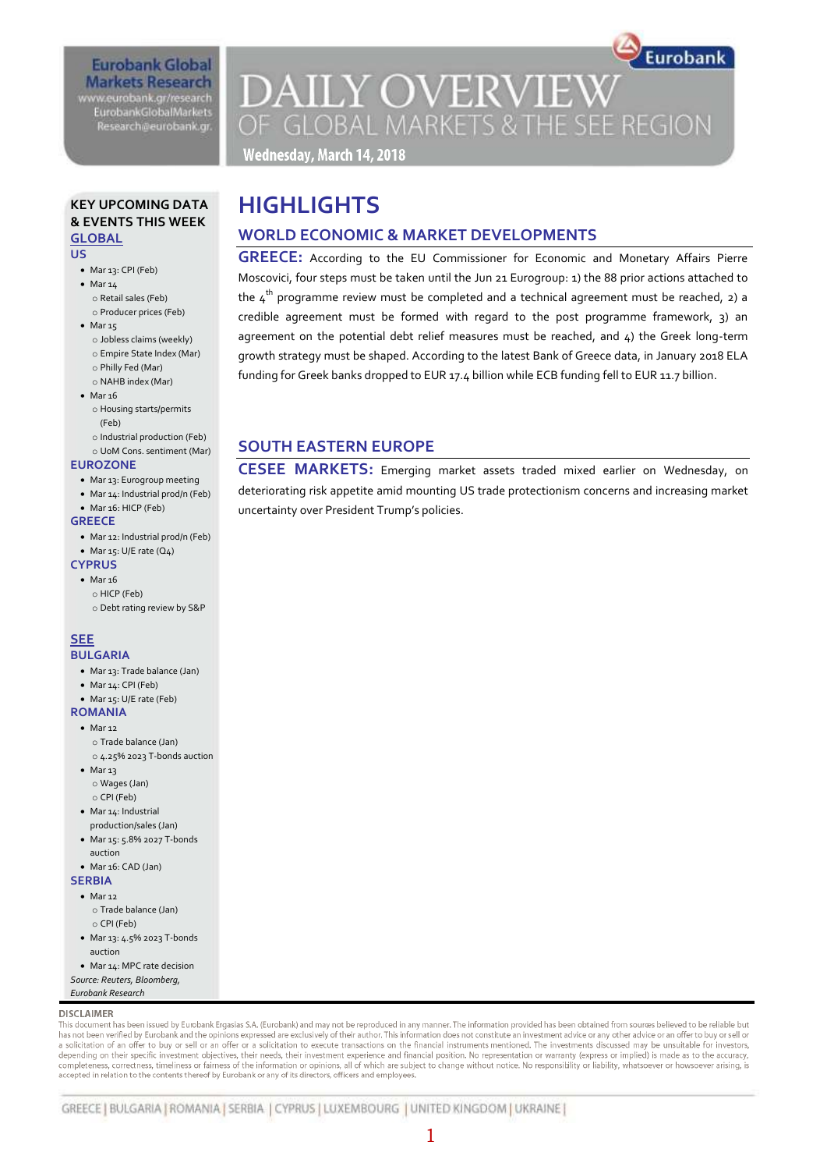# **Eurobank Global Markets Research**

www.eurobank.gr/research EurobankGlobalMarkets Research@eurobank.gr

# Eurobank **DAILY OVERVIEW** OF GLOBAL MARKETS & THE SEE REGION

Wednesday, March 14, 2018

#### **KEY UPCOMING DATA & EVENTS THIS WEEK GLOBAL**

**US** 

- Mar 13: CPI (Feb)
- $\bullet$  Mar 14 o Retail sales (Feb)
	- o Producer prices (Feb)
- $\bullet$  Mar 15
	- o Jobless claims (weekly)
	- o Empire State Index (Mar) o Philly Fed (Mar)
	- o NAHB index (Mar)
- $•$  Mar  $16$
- o Housing starts/permits (Feb)
- o Industrial production (Feb)
- o UoM Cons. sentiment (Mar)
- **EUROZONE**
	- Mar 13: Eurogroup meeting
	- Mar 14: Industrial prod/n (Feb) Mar 16: HICP (Feb)

#### **GREECE**

- Mar 12: Industrial prod/n (Feb)
- $\bullet$  Mar 15: U/E rate (Q4)

#### **CYPRUS**

- $•$  Mar 16 o HICP (Feb)
	- o Debt rating review by S&P

# **SEE**

- **BULGARIA** Mar 13: Trade balance (Jan)
	-
	- Mar 14: CPI (Feb) Mar 15: U/E rate (Feb)
- **ROMANIA**
- $\bullet$  Mar 12
	- o Trade balance (Jan)
- o 4.25% 2023 T-bonds auction • Mar 13
- o Wages (Jan) o CPI (Feb)
- Mar 14: Industrial production/sales (Jan)
- Mar 15: 5.8% 2027 T-bonds auction
- Mar 16: CAD (Jan)

#### **SERBIA**

- $Mars12$ o Trade balance (Jan) o CPI (Feb)
- Mar 13: 4.5% 2023 T-bonds auction
- Mar 14: MPC rate decision
- *Source: Reuters, Bloomberg, Eurobank Research*

### **DISCLAIMER**

This document has been issued by Eurobank Ergasias S.A. (Eurobank) and may not be reproduced in any manner. The information provided has been obtained from sources believed to be reliable but has not been verified by Eurobank and the opinions expressed are exclusively of their author. This information does not constitute an investment advice or any other advice or an offer to buy or sell or an offer or a polici depending on their specific investment objectives, their needs, their investment experience and financial position. No representation or warranty (express or implied) is made as to the accuracy completeness, correctness, timeliness or fairness of the information or opinions, all of which are subject to change without notice. No responsibility or liability, whatsoever or howsoever arising, is accepted in relation to the contents thereof by Eurobank or any of its directors, officers and employees.

# **HIGHLIGHTS**

# **WORLD ECONOMIC & MARKET DEVELOPMENTS**

**GREECE:** According to the EU Commissioner for Economic and Monetary Affairs Pierre Moscovici, four steps must be taken until the Jun 21 Eurogroup: 1) the 88 prior actions attached to the  $4<sup>th</sup>$  programme review must be completed and a technical agreement must be reached, 2) a credible agreement must be formed with regard to the post programme framework,  $3)$  and agreement on the potential debt relief measures must be reached, and  $4$ ) the Greek long-term growth strategy must be shaped. According to the latest Bank of Greece data, in January 2018 ELA funding for Greek banks dropped to EUR 17.4 billion while ECB funding fell to EUR 11.7 billion.

# **SOUTH EASTERN EUROPE**

**CESEE MARKETS:** Emerging market assets traded mixed earlier on Wednesday, on deteriorating risk appetite amid mounting US trade protectionism concerns and increasing market uncertainty over President Trump's policies.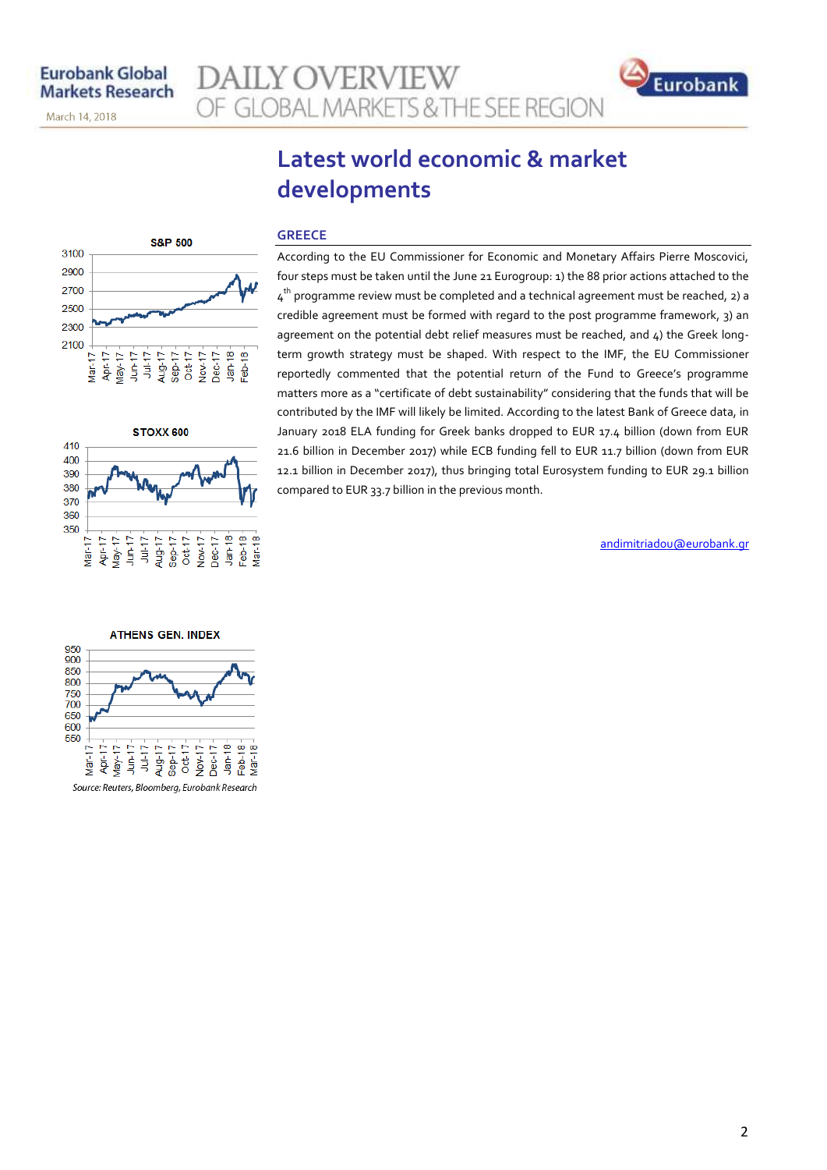March 14, 2018

# **AILY OVERVIEW** OF GLOBAL MARKETS & THE SEE REGION



# **Latest world economic & market developments**





#### **GREECE**

According to the EU Commissioner for Economic and Monetary Affairs Pierre Moscovici, four steps must be taken until the June 21 Eurogroup: 1) the 88 prior actions attached to the  $4^{\text{th}}$  programme review must be completed and a technical agreement must be reached, 2) a credible agreement must be formed with regard to the post programme framework, 3) an agreement on the potential debt relief measures must be reached, and 4) the Greek longterm growth strategy must be shaped. With respect to the IMF, the EU Commissioner reportedly commented that the potential return of the Fund to Greece's programme matters more as a "certificate of debt sustainability" considering that the funds that will be contributed by the IMF will likely be limited. According to the latest Bank of Greece data, in January 2018 ELA funding for Greek banks dropped to EUR 17.4 billion (down from EUR 21.6 billion in December 2017) while ECB funding fell to EUR 11.7 billion (down from EUR 12.1 billion in December 2017), thus bringing total Eurosystem funding to EUR 29.1 billion compared to EUR 33.7 billion in the previous month.

andimitriadou@eurobank.gr

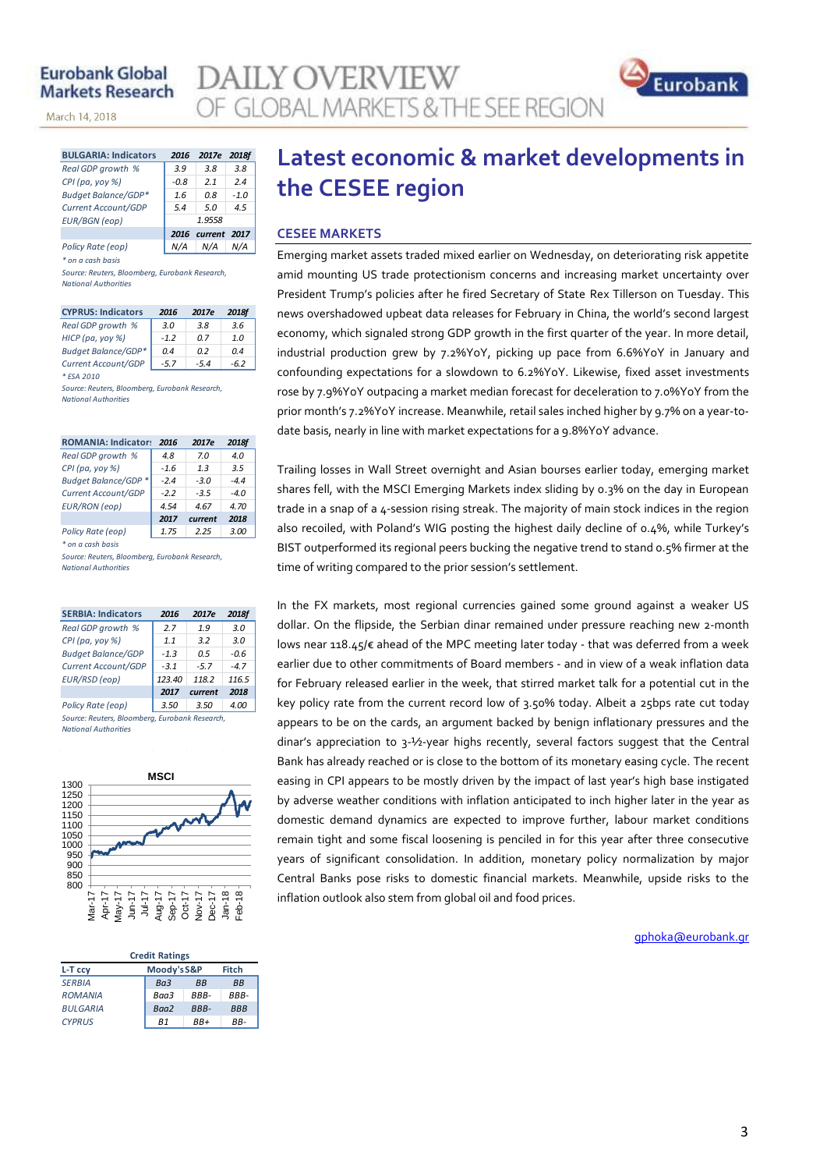## **Eurobank Global Markets Research**

March 14, 2018

| <b>BULGARIA: Indicators</b> | 2016   | 2017e        | 2018f  |  |  |  |
|-----------------------------|--------|--------------|--------|--|--|--|
| Real GDP growth %           | 3.9    | 3.8          | 3.8    |  |  |  |
| CPI (pa, yoy %)             | $-0.8$ | 21           | 2.4    |  |  |  |
| Budget Balance/GDP*         | 1.6    | 0.8          | $-1.0$ |  |  |  |
| Current Account/GDP         | 5.4    | 5.0          | 4.5    |  |  |  |
| <b>EUR/BGN</b> (eop)        | 1.9558 |              |        |  |  |  |
|                             | 2016   | current 2017 |        |  |  |  |
| Policy Rate (eop)           |        | N/A          |        |  |  |  |

*\* on a cash basis*

*Source: Reuters, Bloomberg, Eurobank Research, National Authorities*

| <b>CYPRUS: Indicators</b>  | 2016   | 2017e  | 2018f |
|----------------------------|--------|--------|-------|
| Real GDP growth %          | 3.0    | 3.8    | 3.6   |
| HICP (pa, yoy %)           | $-1.2$ | 0 Z    | 1.0   |
| <b>Budget Balance/GDP*</b> | 0.4    | n 2    | 04    |
| Current Account/GDP        | $-5.7$ | $-5.4$ | -62   |
| * ESA 2010                 |        |        |       |

*Source: Reuters, Bloomberg, Eurobank Research, National Authorities*

| <b>ROMANIA: Indicators</b> | 2016   | 2017e   | 2018f  |
|----------------------------|--------|---------|--------|
| Real GDP growth %          | 4.8    | 7.0     | 4.0    |
| CPI (pa, yoy %)            | $-1.6$ | 1.3     | 3.5    |
| Budget Balance/GDP *       | $-2.4$ | $-3.0$  | $-44$  |
| Current Account/GDP        | $-2.2$ | $-3.5$  | $-4.0$ |
| <b>EUR/RON</b> (eop)       | 4.54   | 4.67    | 4.70   |
|                            | 2017   | current | 2018   |
| Policy Rate (eop)          | 1.75   | 2.25    | 3.00   |

*\* on a cash basis*

*Source: Reuters, Bloomberg, Eurobank Research, National Authorities*

| <b>SERBIA: Indicators</b>                      | 2016   | 2017e   | <b>2018f</b> |
|------------------------------------------------|--------|---------|--------------|
| Real GDP growth %                              | 2.7    | 1.9     | 3.0          |
| CPI (pa, yoy %)                                | 1.1    | 3.2     | 3.0          |
| <b>Budget Balance/GDP</b>                      | $-1.3$ | 0.5     | -0.6         |
| Current Account/GDP                            | $-3.1$ | $-5.7$  | $-4.7$       |
| EUR/RSD (eop)                                  | 123.40 | 118.2   | 116.5        |
|                                                | 2017   | current | 2018         |
| Policy Rate (eop)                              | 3.50   | 3.50    | 4.00         |
| Source: Reuters, Bloomberg, Furobank Research. |        |         |              |

*National Authorities*



#### **L-T ccy Moody'sS&P Fitch** *SERBIA Ba3 BB BB ROMANIA Baa3 BBB- BBB-BULGARIA Baa2 BBB- BBB CYPRUS B1 BB+ BB-***Credit Ratings**

# **Latest economic & market developments in the CESEE region**

### **CESEE MARKETS**

**AILY OVERVIEW** 

OF GLOBAL MARKETS & THE SEE REGION

Emerging market assets traded mixed earlier on Wednesday, on deteriorating risk appetite amid mounting US trade protectionism concerns and increasing market uncertainty over President Trump's policies after he fired Secretary of State Rex Tillerson on Tuesday. This news overshadowed upbeat data releases for February in China, the world's second largest economy, which signaled strong GDP growth in the first quarter of the year. In more detail, industrial production grew by 7.2%YoY, picking up pace from 6.6%YoY in January and confounding expectations for a slowdown to 6.2%YoY. Likewise, fixed asset investments rose by 7.9%YoY outpacing a market median forecast for deceleration to 7.0%YoY from the prior month's 7.2%YoY increase. Meanwhile, retail sales inched higher by 9.7% on a year-todate basis, nearly in line with market expectations for a 9.8%YoY advance.

Trailing losses in Wall Street overnight and Asian bourses earlier today, emerging market shares fell, with the MSCI Emerging Markets index sliding by 0.3% on the day in European trade in a snap of a 4-session rising streak. The majority of main stock indices in the region also recoiled, with Poland's WIG posting the highest daily decline of 0.4%, while Turkey's BIST outperformed its regional peers bucking the negative trend to stand 0.5% firmer at the time of writing compared to the prior session's settlement.

In the FX markets, most regional currencies gained some ground against a weaker US dollar. On the flipside, the Serbian dinar remained under pressure reaching new 2-month lows near 118.45/€ ahead of the MPC meeting later today - that was deferred from a week earlier due to other commitments of Board members - and in view of a weak inflation data for February released earlier in the week, that stirred market talk for a potential cut in the key policy rate from the current record low of 3.50% today. Albeit a 25bps rate cut today appears to be on the cards, an argument backed by benign inflationary pressures and the dinar's appreciation to 3-½-year highs recently, several factors suggest that the Central Bank has already reached or is close to the bottom of its monetary easing cycle. The recent easing in CPI appears to be mostly driven by the impact of last year's high base instigated by adverse weather conditions with inflation anticipated to inch higher later in the year as domestic demand dynamics are expected to improve further, labour market conditions remain tight and some fiscal loosening is penciled in for this year after three consecutive years of significant consolidation. In addition, monetary policy normalization by major Central Banks pose risks to domestic financial markets. Meanwhile, upside risks to the inflation outlook also stem from global oil and food prices.

[gphoka@eurobank.gr](mailto:gphoka@eurobank.gr)

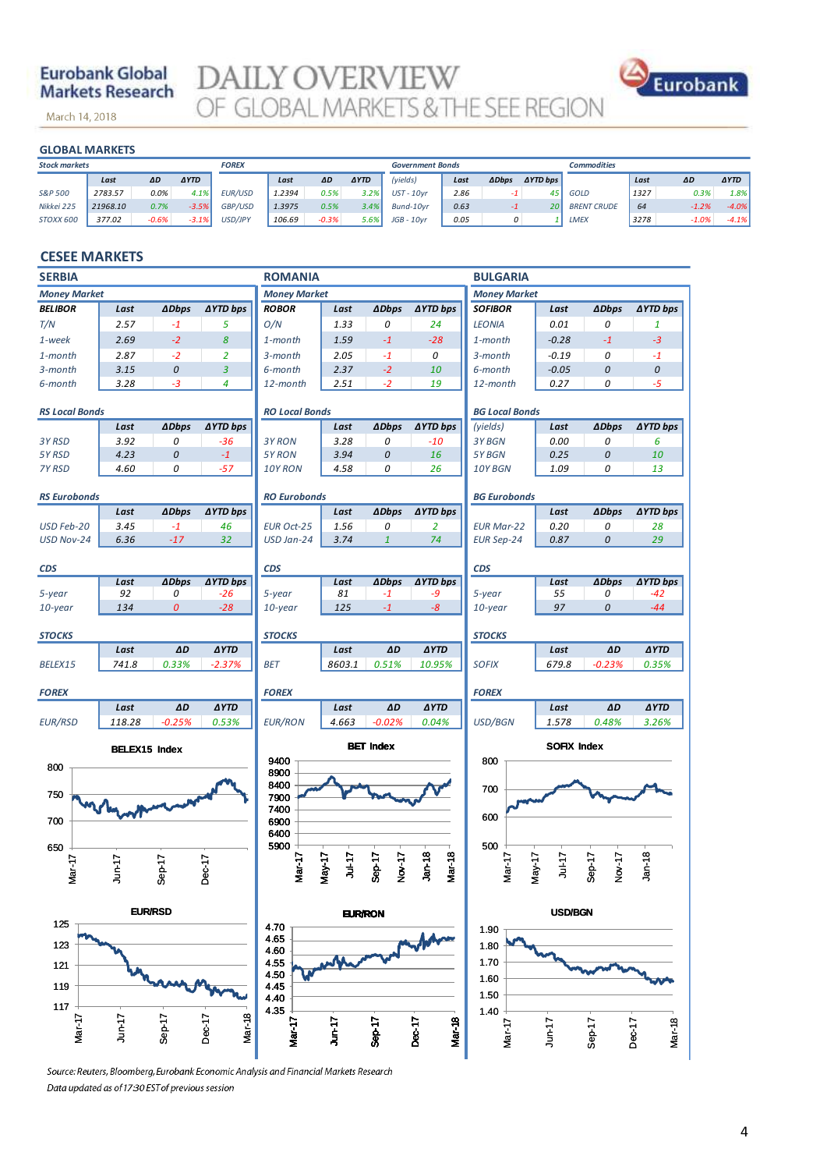# **Eurobank Global Markets Research**

March 14, 2018

**DAILY OVERVIEW**<br>OF GLOBAL MARKETS & THE SEE REGION



| <b>GLOBAL MARKETS</b> |          |         |             |              |        |         |             |                         |      |              |                     |                    |      |         |             |
|-----------------------|----------|---------|-------------|--------------|--------|---------|-------------|-------------------------|------|--------------|---------------------|--------------------|------|---------|-------------|
| <b>Stock markets</b>  |          |         |             | <b>FOREX</b> |        |         |             | <b>Government Bonds</b> |      |              |                     | <b>Commodities</b> |      |         |             |
|                       | Last     | ΔD      | <b>AYTD</b> |              | Last   | ΔD      | <b>AYTD</b> | (yields)                | Last | <b>ADbps</b> | $\triangle YTD$ bps |                    | Last | ΔD      | <b>AYTD</b> |
| S&P 500               | 2783.57  | 0.0%    | 4.1%        | EUR/USD      | 1.2394 | 0.5%    | 3.2%        | $UST - 10vr$            | 2.86 | $-1$         | 45                  | <b>GOLD</b>        | 1327 | 0.3%    | 1.8%        |
| Nikkei 225            | 21968.10 | 0.7%    | $-3.5%$     | GBP/USD      | 1.3975 | 0.5%    | 3.4%        | Bund-10vr               | 0.63 | $-1$         | 20                  | <b>BRENT CRUDE</b> | 64   | $-1.2%$ | $-4.0\%$    |
| STOXX 600             | 377.02   | $-0.6%$ | $-3.1%$     | USD/JPY      | 106.69 | $-0.3%$ | 5.6%        | $JGB - 10yr$            | 0.05 | 0            |                     | <b>LMEX</b>        | 3278 | $-1.0%$ | $-4.1%$     |

### **CESEE MARKETS**

| <b>SERBIA</b>                                   |                      |                  |                  | <b>ROMANIA</b>        |           |                  |                         | <b>BULGARIA</b>       |                    |                  |                  |
|-------------------------------------------------|----------------------|------------------|------------------|-----------------------|-----------|------------------|-------------------------|-----------------------|--------------------|------------------|------------------|
| <b>Money Market</b>                             |                      |                  |                  | <b>Money Market</b>   |           |                  |                         | <b>Money Market</b>   |                    |                  |                  |
| <b>BELIBOR</b>                                  | Last                 | <b>ADbps</b>     | ∆YTD bps         | <b>ROBOR</b>          | Last      | <b>ADbps</b>     | ∆YTD bps                | <b>SOFIBOR</b>        | Last               | <b>ADbps</b>     | ∆YTD bps         |
| T/N                                             | 2.57                 | $-1$             | 5                | O/N                   | 1.33      | 0                | 24                      | <b>LEONIA</b>         | 0.01               | 0                | $\mathbf{1}$     |
| 1-week                                          | 2.69                 | $-2$             | 8                | 1-month               | 1.59      | $-1$             | $-28$                   | 1-month               | $-0.28$            | $-1$             | $-3$             |
| $1$ -month                                      | 2.87                 | $-2$             | $\overline{2}$   | 3-month               | 2.05      | $-1$             | 0                       | $3$ -month            | $-0.19$            | 0                | $-1$             |
| 3-month                                         | 3.15                 | 0                | $\overline{3}$   | 6-month               | 2.37      | $-2$             | 10                      | 6-month               | $-0.05$            | 0                | 0                |
| 6-month                                         | 3.28                 | $-3$             | $\overline{a}$   | 12-month              | 2.51      | $-2$             | 19                      | 12-month              | 0.27               | 0                | $-5$             |
| <b>RS Local Bonds</b>                           |                      |                  |                  | <b>RO Local Bonds</b> |           |                  |                         | <b>BG Local Bonds</b> |                    |                  |                  |
|                                                 | Last                 | <b>ADbps</b>     | ∆YTD bps         |                       | Last      | <b>ADbps</b>     | ∆YTD bps                | (yields)              | Last               | <b>ADbps</b>     | ∆YTD bps         |
| 3Y RSD                                          | 3.92                 | 0                | $-36$            | 3Y RON                | 3.28      | 0                | $-10$                   | 3Y BGN                | 0.00               | 0                | 6                |
| 5Y RSD                                          | 4.23                 | $\it{O}$         | $-1$             | 5Y RON                | 3.94      | 0                | 16                      | 5Y BGN                | 0.25               | $\boldsymbol{0}$ | 10               |
| 7Y RSD                                          | 4.60                 | 0                | $-57$            | 10Y RON               | 4.58      | 0                | 26                      | 10Y BGN               | 1.09               | 0                | 13               |
| <b>RS Eurobonds</b>                             |                      |                  |                  | <b>RO Eurobonds</b>   |           |                  |                         | <b>BG Eurobonds</b>   |                    |                  |                  |
|                                                 | Last                 | <b>ADbps</b>     | ∆YTD bps         |                       | Last      | <b>ADbps</b>     | ∆YTD bps                |                       | Last               | <b>ADbps</b>     | ∆YTD bps         |
| USD Feb-20                                      | 3.45                 | $-1$             | 46               | <b>EUR Oct-25</b>     | 1.56      | 0                | $\overline{2}$          | <b>EUR Mar-22</b>     | 0.20               | 0                | 28               |
| <b>USD Nov-24</b>                               | 6.36                 | $-17$            | 32               | USD Jan-24            | 3.74      | $\mathbf{1}$     | 74                      | <b>EUR Sep-24</b>     | 0.87               | $\boldsymbol{0}$ | 29               |
| <b>CDS</b>                                      |                      |                  |                  | <b>CDS</b>            |           |                  |                         | <b>CDS</b>            |                    |                  |                  |
|                                                 | Last                 | <b>ADbps</b>     | <b>AYTD bps</b>  |                       | Last      | <b>ADbps</b>     | <b>AYTD bps</b>         |                       | Last               | <b>ADbps</b>     | <b>AYTD bps</b>  |
| 5-year                                          | 92                   | 0                | $-26$            | 5-year                | 81        | $-1$             | -9                      | 5-year                | 55                 | 0                | -42              |
| 10-year                                         | 134                  | $\boldsymbol{0}$ | $-28$            | 10-year               | 125       | $-1$             | $-8$                    | $10$ -year            | 97                 | 0                | $-44$            |
| <b>STOCKS</b>                                   |                      |                  |                  | <b>STOCKS</b>         |           |                  |                         | <b>STOCKS</b>         |                    |                  |                  |
|                                                 | Last                 | ΔD               | <b>AYTD</b>      |                       | Last      | AD               | <b>AYTD</b>             |                       | Last               | $\Delta D$       | <b>AYTD</b>      |
| BELEX15                                         | 741.8                | 0.33%            | $-2.37%$         | <b>BET</b>            | 8603.1    | 0.51%            | 10.95%                  | <b>SOFIX</b>          | 679.8              | $-0.23%$         | 0.35%            |
| <b>FOREX</b>                                    |                      |                  |                  | <b>FOREX</b>          |           |                  |                         | <b>FOREX</b>          |                    |                  |                  |
|                                                 | Last                 | ΔD               | <b>AYTD</b>      |                       | Last      | AD               | <b>AYTD</b>             |                       | Last               | ΔD               | <b>AYTD</b>      |
| <b>EUR/RSD</b>                                  | 118.28               | $-0.25%$         | 0.53%            | <b>EUR/RON</b>        | 4.663     | $-0.02%$         | 0.04%                   | USD/BGN               | 1.578              | 0.48%            | 3.26%            |
|                                                 | <b>BELEX15 Index</b> |                  |                  |                       |           | <b>BET Index</b> |                         |                       | <b>SOFIX Index</b> |                  |                  |
| 800                                             |                      |                  |                  | 9400<br>8900          |           |                  |                         | 800                   |                    |                  |                  |
|                                                 |                      |                  |                  | 8400                  |           |                  |                         | 700                   |                    |                  |                  |
| 750                                             |                      |                  |                  | 7900                  |           |                  |                         |                       |                    |                  |                  |
| 700                                             | Wegwy                |                  |                  | 7400<br>6900          |           |                  |                         | 600                   |                    |                  |                  |
|                                                 |                      |                  |                  | 6400                  |           |                  |                         |                       |                    |                  |                  |
| 650                                             |                      |                  |                  | 5900                  |           |                  |                         | 500                   |                    |                  |                  |
|                                                 |                      |                  |                  |                       | $71 - 10$ |                  | Jan-18                  |                       | $71 - 10$          |                  | $Jan-18$         |
| Mar-17                                          | こう                   | $Sep-17$         | $Dec-17$         | Mar-17                | May-17    | Nov-17<br>Sep-17 | <b>Mar-18</b>           | Mar-17<br>$May-17$    |                    | Nov-17<br>Sep-17 |                  |
|                                                 |                      |                  |                  |                       |           |                  |                         |                       |                    |                  |                  |
| <b>EUR/RSD</b><br><b>EUR/RON</b><br>125<br>4.70 |                      |                  |                  |                       |           |                  | <b>USD/BGN</b>          |                       |                    |                  |                  |
|                                                 | 4.65<br>123          |                  |                  |                       |           |                  | 1.90<br>1.80            |                       |                    |                  |                  |
|                                                 |                      |                  |                  | 4.60                  |           |                  |                         |                       |                    |                  |                  |
| 121                                             |                      |                  |                  | 4.55<br>1.70<br>4.50  |           |                  |                         |                       |                    |                  |                  |
| 119                                             |                      |                  |                  | 445                   |           |                  |                         | 1.60<br>1.50          |                    |                  |                  |
| 117                                             |                      |                  |                  | 4.40<br>4.35          |           |                  |                         | 1.40                  |                    |                  |                  |
|                                                 |                      |                  | Mar-18<br>Dec-17 |                       |           |                  |                         |                       |                    |                  |                  |
| Mar-17                                          | $J$ un-17            | Sep-17           |                  | <b>Mar-17</b>         | Jun-17    | Sep-17           | <b>Mar-18</b><br>Dec-17 | Mar-17                | $Jun-17$           | Sep-17           | Dec-17<br>Mar-18 |
|                                                 |                      |                  |                  |                       |           |                  |                         |                       |                    |                  |                  |

Source: Reuters, Bloomberg, Eurobank Economic Analysis and Financial Markets Research Data updated as of 17:30 EST of previous session